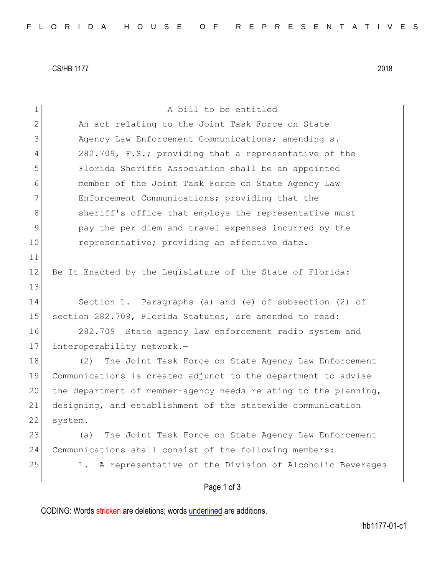CS/HB 1177 2018

| $\mathbf 1$  | A bill to be entitled                                           |
|--------------|-----------------------------------------------------------------|
| $\mathbf{2}$ | An act relating to the Joint Task Force on State                |
| 3            | Agency Law Enforcement Communications; amending s.              |
| 4            | 282.709, F.S.; providing that a representative of the           |
| 5            | Florida Sheriffs Association shall be an appointed              |
| 6            | member of the Joint Task Force on State Agency Law              |
| 7            | Enforcement Communications; providing that the                  |
| 8            | sheriff's office that employs the representative must           |
| 9            | pay the per diem and travel expenses incurred by the            |
| 10           | representative; providing an effective date.                    |
| 11           |                                                                 |
| 12           | Be It Enacted by the Legislature of the State of Florida:       |
| 13           |                                                                 |
| 14           | Section 1. Paragraphs (a) and (e) of subsection (2) of          |
| 15           | section 282.709, Florida Statutes, are amended to read:         |
| 16           | 282.709 State agency law enforcement radio system and           |
| 17           | interoperability network.-                                      |
| 18           | The Joint Task Force on State Agency Law Enforcement<br>(2)     |
| 19           | Communications is created adjunct to the department to advise   |
| 20           | the department of member-agency needs relating to the planning, |
| 21           | designing, and establishment of the statewide communication     |
| 22           | system.                                                         |
| 23           | The Joint Task Force on State Agency Law Enforcement<br>(a)     |
| 24           | Communications shall consist of the following members:          |
| 25           | 1. A representative of the Division of Alcoholic Beverages      |
|              | Page 1 of 3                                                     |

CODING: Words stricken are deletions; words underlined are additions.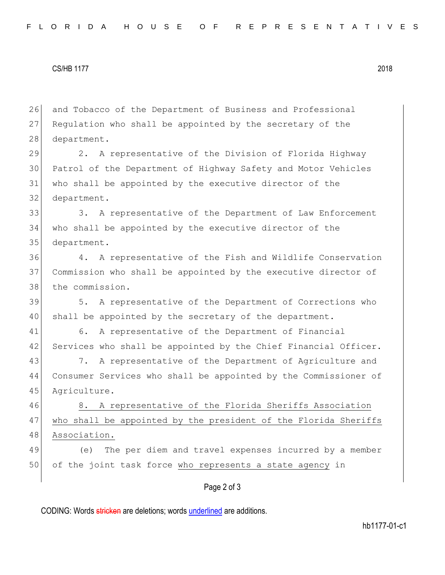## CS/HB 1177 2018

26 and Tobacco of the Department of Business and Professional 27 Regulation who shall be appointed by the secretary of the 28 department.

 2. A representative of the Division of Florida Highway Patrol of the Department of Highway Safety and Motor Vehicles who shall be appointed by the executive director of the department.

33 3. A representative of the Department of Law Enforcement 34 who shall be appointed by the executive director of the 35 department.

36 4. A representative of the Fish and Wildlife Conservation 37 Commission who shall be appointed by the executive director of 38 the commission.

39 5. A representative of the Department of Corrections who 40 shall be appointed by the secretary of the department.

41 6. A representative of the Department of Financial 42 Services who shall be appointed by the Chief Financial Officer.

43 7. A representative of the Department of Agriculture and 44 Consumer Services who shall be appointed by the Commissioner of 45 Agriculture.

46 8. A representative of the Florida Sheriffs Association 47 who shall be appointed by the president of the Florida Sheriffs 48 Association.

49 (e) The per diem and travel expenses incurred by a member 50 of the joint task force who represents a state agency in

## Page 2 of 3

CODING: Words stricken are deletions; words underlined are additions.